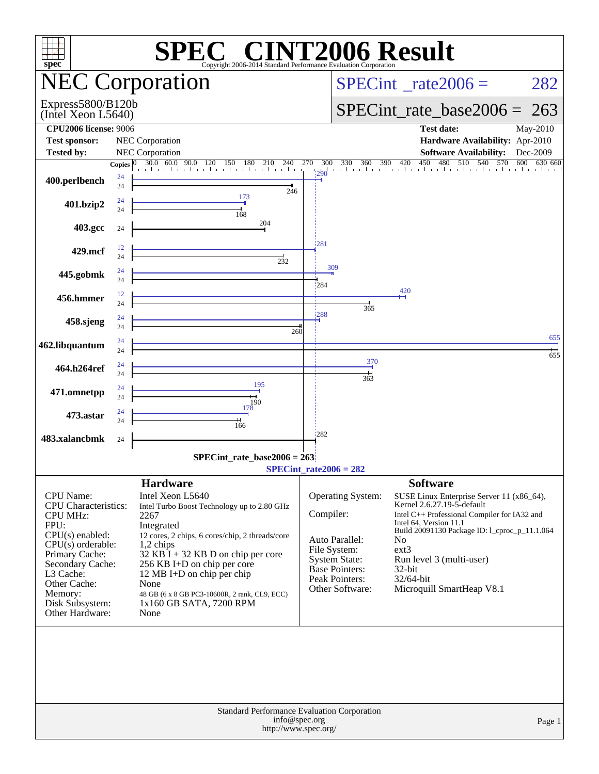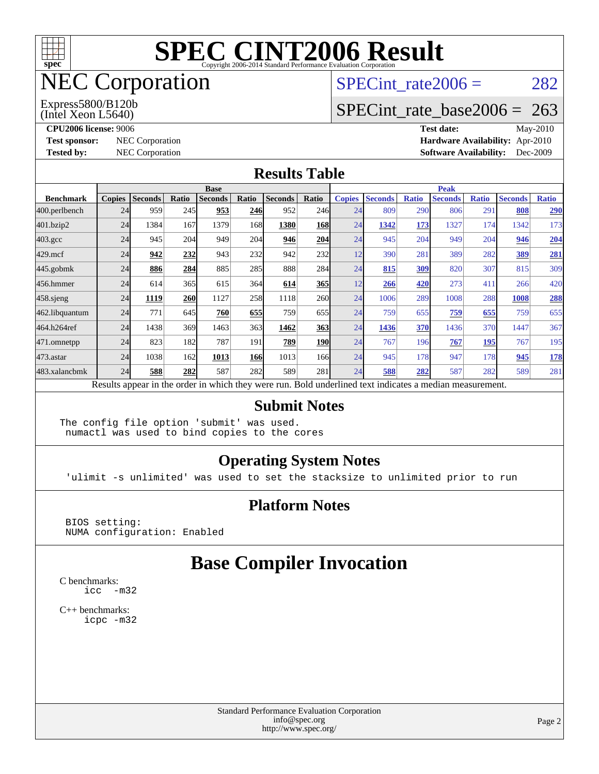

# NEC Corporation

(Intel Xeon L5640) Express5800/B120b SPECint rate $2006 = 282$ 

## [SPECint\\_rate\\_base2006 =](http://www.spec.org/auto/cpu2006/Docs/result-fields.html#SPECintratebase2006) 263

**[CPU2006 license:](http://www.spec.org/auto/cpu2006/Docs/result-fields.html#CPU2006license)** 9006 **[Test date:](http://www.spec.org/auto/cpu2006/Docs/result-fields.html#Testdate)** May-2010 **[Test sponsor:](http://www.spec.org/auto/cpu2006/Docs/result-fields.html#Testsponsor)** NEC Corporation **[Hardware Availability:](http://www.spec.org/auto/cpu2006/Docs/result-fields.html#HardwareAvailability)** Apr-2010 **[Tested by:](http://www.spec.org/auto/cpu2006/Docs/result-fields.html#Testedby)** NEC Corporation **[Software Availability:](http://www.spec.org/auto/cpu2006/Docs/result-fields.html#SoftwareAvailability)** Dec-2009

#### **[Results Table](http://www.spec.org/auto/cpu2006/Docs/result-fields.html#ResultsTable)**

|                    | <b>Base</b>   |                |       |                                                                                                          |            |                |            | <b>Peak</b>   |                |              |                |              |                |              |
|--------------------|---------------|----------------|-------|----------------------------------------------------------------------------------------------------------|------------|----------------|------------|---------------|----------------|--------------|----------------|--------------|----------------|--------------|
| <b>Benchmark</b>   | <b>Copies</b> | <b>Seconds</b> | Ratio | <b>Seconds</b>                                                                                           | Ratio      | <b>Seconds</b> | Ratio      | <b>Copies</b> | <b>Seconds</b> | <b>Ratio</b> | <b>Seconds</b> | <b>Ratio</b> | <b>Seconds</b> | <b>Ratio</b> |
| 400.perlbench      | 24            | 959            | 245   | 953                                                                                                      | 246        | 952            | 246        | 24            | 809            | 290          | 806            | 291          | 808            | 290          |
| 401.bzip2          | 24            | 1384           | 167   | 1379                                                                                                     | 168        | 1380           | <b>168</b> | 24            | 1342           | 173          | 1327           | 174          | 1342           | 173          |
| $403.\mathrm{gcc}$ | 24            | 945            | 204   | 949                                                                                                      | 204        | 946            | 204        | 24            | 945            | 204          | 949            | 204          | 946            | 204          |
| $429$ .mcf         | 24            | 942            | 232   | 943                                                                                                      | 232        | 942            | <b>232</b> | 12            | 390            | 281          | 389            | 282          | 389            | 281          |
| $445$ .gobmk       | 24            | 886            | 284   | 885                                                                                                      | 285        | 888            | 284        | 24            | 815            | 309          | 820            | 307          | 815            | 309          |
| 456.hmmer          | 24            | 614            | 365   | 615                                                                                                      | 364        | 614            | <b>365</b> | 12            | 266            | 420          | 273            | 411          | 266            | 420          |
| $458$ .sjeng       | 24            | 1119           | 260   | 1127                                                                                                     | 258        | 1118           | <b>260</b> | 24            | 1006           | 289          | 1008           | 288          | 1008           | 288          |
| 462.libquantum     | 24            | 771            | 645   | 760                                                                                                      | 655        | 759            | 655        | 24            | 759            | 655          | 759            | 655          | 759            | 655          |
| 464.h264ref        | 24            | 1438           | 369   | 1463                                                                                                     | 363        | 1462           | 363        | 24            | 1436           | 370          | 1436           | 370          | 1447           | 367          |
| 471.omnetpp        | 24            | 823            | 182   | 787                                                                                                      | 191        | 789            | <b>190</b> | 24            | 767            | 196          | 767            | 195          | 767            | 195          |
| $473$ . astar      | 24            | 1038           | 162   | 1013                                                                                                     | <b>166</b> | 1013           | 166l       | 24            | 945            | 178          | 947            | 178          | 945            | <u>178</u>   |
| 483.xalancbmk      | 24            | 588            | 282   | 587                                                                                                      | 282        | 589            | 281        | 24            | 588            | 282          | 587            | 282          | 589            | 281          |
|                    |               |                |       | Results appear in the order in which they were run. Bold underlined text indicates a median measurement. |            |                |            |               |                |              |                |              |                |              |

#### **[Submit Notes](http://www.spec.org/auto/cpu2006/Docs/result-fields.html#SubmitNotes)**

The config file option 'submit' was used. numactl was used to bind copies to the cores

### **[Operating System Notes](http://www.spec.org/auto/cpu2006/Docs/result-fields.html#OperatingSystemNotes)**

'ulimit -s unlimited' was used to set the stacksize to unlimited prior to run

#### **[Platform Notes](http://www.spec.org/auto/cpu2006/Docs/result-fields.html#PlatformNotes)**

 BIOS setting: NUMA configuration: Enabled

## **[Base Compiler Invocation](http://www.spec.org/auto/cpu2006/Docs/result-fields.html#BaseCompilerInvocation)**

[C benchmarks](http://www.spec.org/auto/cpu2006/Docs/result-fields.html#Cbenchmarks): [icc -m32](http://www.spec.org/cpu2006/results/res2010q3/cpu2006-20100704-12169.flags.html#user_CCbase_intel_icc_32bit_5ff4a39e364c98233615fdd38438c6f2)

[C++ benchmarks:](http://www.spec.org/auto/cpu2006/Docs/result-fields.html#CXXbenchmarks) [icpc -m32](http://www.spec.org/cpu2006/results/res2010q3/cpu2006-20100704-12169.flags.html#user_CXXbase_intel_icpc_32bit_4e5a5ef1a53fd332b3c49e69c3330699)

> Standard Performance Evaluation Corporation [info@spec.org](mailto:info@spec.org) <http://www.spec.org/>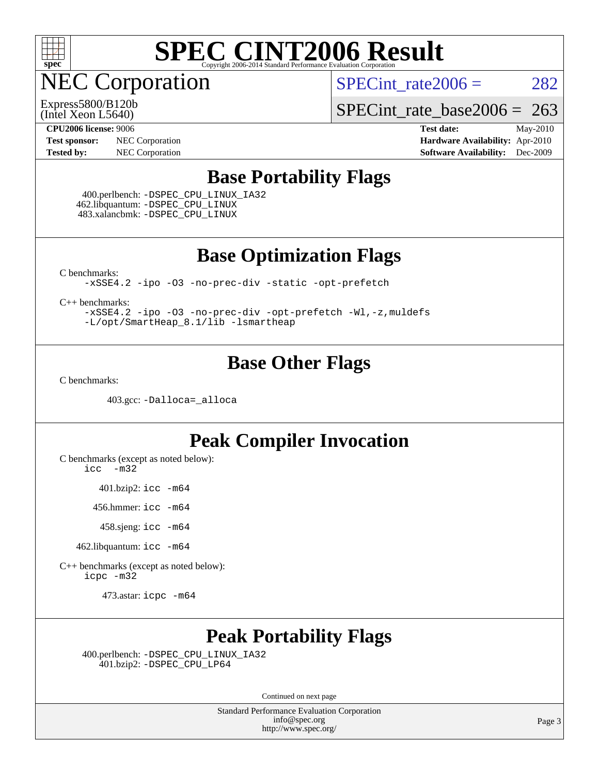

NEC Corporation

SPECint rate $2006 = 282$ 

(Intel Xeon L5640) Express5800/B120b

[SPECint\\_rate\\_base2006 =](http://www.spec.org/auto/cpu2006/Docs/result-fields.html#SPECintratebase2006) 263

**[Test sponsor:](http://www.spec.org/auto/cpu2006/Docs/result-fields.html#Testsponsor)** NEC Corporation **NEC Corporation [Hardware Availability:](http://www.spec.org/auto/cpu2006/Docs/result-fields.html#HardwareAvailability)** Apr-2010

**[CPU2006 license:](http://www.spec.org/auto/cpu2006/Docs/result-fields.html#CPU2006license)** 9006 **[Test date:](http://www.spec.org/auto/cpu2006/Docs/result-fields.html#Testdate)** May-2010 **[Tested by:](http://www.spec.org/auto/cpu2006/Docs/result-fields.html#Testedby)** NEC Corporation **[Software Availability:](http://www.spec.org/auto/cpu2006/Docs/result-fields.html#SoftwareAvailability)** Dec-2009

### **[Base Portability Flags](http://www.spec.org/auto/cpu2006/Docs/result-fields.html#BasePortabilityFlags)**

 400.perlbench: [-DSPEC\\_CPU\\_LINUX\\_IA32](http://www.spec.org/cpu2006/results/res2010q3/cpu2006-20100704-12169.flags.html#b400.perlbench_baseCPORTABILITY_DSPEC_CPU_LINUX_IA32) 462.libquantum: [-DSPEC\\_CPU\\_LINUX](http://www.spec.org/cpu2006/results/res2010q3/cpu2006-20100704-12169.flags.html#b462.libquantum_baseCPORTABILITY_DSPEC_CPU_LINUX) 483.xalancbmk: [-DSPEC\\_CPU\\_LINUX](http://www.spec.org/cpu2006/results/res2010q3/cpu2006-20100704-12169.flags.html#b483.xalancbmk_baseCXXPORTABILITY_DSPEC_CPU_LINUX)

**[Base Optimization Flags](http://www.spec.org/auto/cpu2006/Docs/result-fields.html#BaseOptimizationFlags)**

[C benchmarks](http://www.spec.org/auto/cpu2006/Docs/result-fields.html#Cbenchmarks):

[-xSSE4.2](http://www.spec.org/cpu2006/results/res2010q3/cpu2006-20100704-12169.flags.html#user_CCbase_f-xSSE42_f91528193cf0b216347adb8b939d4107) [-ipo](http://www.spec.org/cpu2006/results/res2010q3/cpu2006-20100704-12169.flags.html#user_CCbase_f-ipo) [-O3](http://www.spec.org/cpu2006/results/res2010q3/cpu2006-20100704-12169.flags.html#user_CCbase_f-O3) [-no-prec-div](http://www.spec.org/cpu2006/results/res2010q3/cpu2006-20100704-12169.flags.html#user_CCbase_f-no-prec-div) [-static](http://www.spec.org/cpu2006/results/res2010q3/cpu2006-20100704-12169.flags.html#user_CCbase_f-static) [-opt-prefetch](http://www.spec.org/cpu2006/results/res2010q3/cpu2006-20100704-12169.flags.html#user_CCbase_f-opt-prefetch)

[C++ benchmarks:](http://www.spec.org/auto/cpu2006/Docs/result-fields.html#CXXbenchmarks)

[-xSSE4.2](http://www.spec.org/cpu2006/results/res2010q3/cpu2006-20100704-12169.flags.html#user_CXXbase_f-xSSE42_f91528193cf0b216347adb8b939d4107) [-ipo](http://www.spec.org/cpu2006/results/res2010q3/cpu2006-20100704-12169.flags.html#user_CXXbase_f-ipo) [-O3](http://www.spec.org/cpu2006/results/res2010q3/cpu2006-20100704-12169.flags.html#user_CXXbase_f-O3) [-no-prec-div](http://www.spec.org/cpu2006/results/res2010q3/cpu2006-20100704-12169.flags.html#user_CXXbase_f-no-prec-div) [-opt-prefetch](http://www.spec.org/cpu2006/results/res2010q3/cpu2006-20100704-12169.flags.html#user_CXXbase_f-opt-prefetch) [-Wl,-z,muldefs](http://www.spec.org/cpu2006/results/res2010q3/cpu2006-20100704-12169.flags.html#user_CXXbase_link_force_multiple1_74079c344b956b9658436fd1b6dd3a8a) [-L/opt/SmartHeap\\_8.1/lib -lsmartheap](http://www.spec.org/cpu2006/results/res2010q3/cpu2006-20100704-12169.flags.html#user_CXXbase_SmartHeap_d5ba4dfc9de25d3c657c7de7476e66c5)

### **[Base Other Flags](http://www.spec.org/auto/cpu2006/Docs/result-fields.html#BaseOtherFlags)**

[C benchmarks](http://www.spec.org/auto/cpu2006/Docs/result-fields.html#Cbenchmarks):

403.gcc: [-Dalloca=\\_alloca](http://www.spec.org/cpu2006/results/res2010q3/cpu2006-20100704-12169.flags.html#b403.gcc_baseEXTRA_CFLAGS_Dalloca_be3056838c12de2578596ca5467af7f3)

### **[Peak Compiler Invocation](http://www.spec.org/auto/cpu2006/Docs/result-fields.html#PeakCompilerInvocation)**

[C benchmarks \(except as noted below\)](http://www.spec.org/auto/cpu2006/Docs/result-fields.html#Cbenchmarksexceptasnotedbelow):

[icc -m32](http://www.spec.org/cpu2006/results/res2010q3/cpu2006-20100704-12169.flags.html#user_CCpeak_intel_icc_32bit_5ff4a39e364c98233615fdd38438c6f2)

401.bzip2: [icc -m64](http://www.spec.org/cpu2006/results/res2010q3/cpu2006-20100704-12169.flags.html#user_peakCCLD401_bzip2_intel_icc_64bit_bda6cc9af1fdbb0edc3795bac97ada53)

456.hmmer: [icc -m64](http://www.spec.org/cpu2006/results/res2010q3/cpu2006-20100704-12169.flags.html#user_peakCCLD456_hmmer_intel_icc_64bit_bda6cc9af1fdbb0edc3795bac97ada53)

458.sjeng: [icc -m64](http://www.spec.org/cpu2006/results/res2010q3/cpu2006-20100704-12169.flags.html#user_peakCCLD458_sjeng_intel_icc_64bit_bda6cc9af1fdbb0edc3795bac97ada53)

462.libquantum: [icc -m64](http://www.spec.org/cpu2006/results/res2010q3/cpu2006-20100704-12169.flags.html#user_peakCCLD462_libquantum_intel_icc_64bit_bda6cc9af1fdbb0edc3795bac97ada53)

[C++ benchmarks \(except as noted below\):](http://www.spec.org/auto/cpu2006/Docs/result-fields.html#CXXbenchmarksexceptasnotedbelow) [icpc -m32](http://www.spec.org/cpu2006/results/res2010q3/cpu2006-20100704-12169.flags.html#user_CXXpeak_intel_icpc_32bit_4e5a5ef1a53fd332b3c49e69c3330699)

473.astar: [icpc -m64](http://www.spec.org/cpu2006/results/res2010q3/cpu2006-20100704-12169.flags.html#user_peakCXXLD473_astar_intel_icpc_64bit_fc66a5337ce925472a5c54ad6a0de310)

## **[Peak Portability Flags](http://www.spec.org/auto/cpu2006/Docs/result-fields.html#PeakPortabilityFlags)**

 400.perlbench: [-DSPEC\\_CPU\\_LINUX\\_IA32](http://www.spec.org/cpu2006/results/res2010q3/cpu2006-20100704-12169.flags.html#b400.perlbench_peakCPORTABILITY_DSPEC_CPU_LINUX_IA32) 401.bzip2: [-DSPEC\\_CPU\\_LP64](http://www.spec.org/cpu2006/results/res2010q3/cpu2006-20100704-12169.flags.html#suite_peakCPORTABILITY401_bzip2_DSPEC_CPU_LP64)

Continued on next page

Standard Performance Evaluation Corporation [info@spec.org](mailto:info@spec.org) <http://www.spec.org/>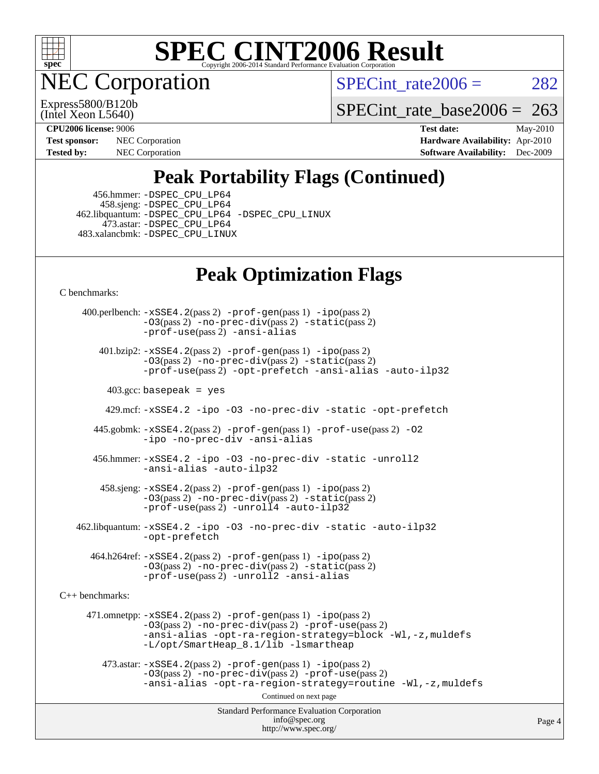

**EC Corporation** 

SPECint rate $2006 = 282$ 

(Intel Xeon L5640) Express5800/B120b

[SPECint\\_rate\\_base2006 =](http://www.spec.org/auto/cpu2006/Docs/result-fields.html#SPECintratebase2006)  $263$ 

**[Tested by:](http://www.spec.org/auto/cpu2006/Docs/result-fields.html#Testedby)** NEC Corporation **[Software Availability:](http://www.spec.org/auto/cpu2006/Docs/result-fields.html#SoftwareAvailability)** Dec-2009

**[CPU2006 license:](http://www.spec.org/auto/cpu2006/Docs/result-fields.html#CPU2006license)** 9006 **[Test date:](http://www.spec.org/auto/cpu2006/Docs/result-fields.html#Testdate)** May-2010 **[Test sponsor:](http://www.spec.org/auto/cpu2006/Docs/result-fields.html#Testsponsor)** NEC Corporation **NEC Corporation [Hardware Availability:](http://www.spec.org/auto/cpu2006/Docs/result-fields.html#HardwareAvailability)** Apr-2010

# **[Peak Portability Flags \(Continued\)](http://www.spec.org/auto/cpu2006/Docs/result-fields.html#PeakPortabilityFlags)**

 456.hmmer: [-DSPEC\\_CPU\\_LP64](http://www.spec.org/cpu2006/results/res2010q3/cpu2006-20100704-12169.flags.html#suite_peakCPORTABILITY456_hmmer_DSPEC_CPU_LP64) 458.sjeng: [-DSPEC\\_CPU\\_LP64](http://www.spec.org/cpu2006/results/res2010q3/cpu2006-20100704-12169.flags.html#suite_peakCPORTABILITY458_sjeng_DSPEC_CPU_LP64) 462.libquantum: [-DSPEC\\_CPU\\_LP64](http://www.spec.org/cpu2006/results/res2010q3/cpu2006-20100704-12169.flags.html#suite_peakCPORTABILITY462_libquantum_DSPEC_CPU_LP64) [-DSPEC\\_CPU\\_LINUX](http://www.spec.org/cpu2006/results/res2010q3/cpu2006-20100704-12169.flags.html#b462.libquantum_peakCPORTABILITY_DSPEC_CPU_LINUX) 473.astar: [-DSPEC\\_CPU\\_LP64](http://www.spec.org/cpu2006/results/res2010q3/cpu2006-20100704-12169.flags.html#suite_peakCXXPORTABILITY473_astar_DSPEC_CPU_LP64) 483.xalancbmk: [-DSPEC\\_CPU\\_LINUX](http://www.spec.org/cpu2006/results/res2010q3/cpu2006-20100704-12169.flags.html#b483.xalancbmk_peakCXXPORTABILITY_DSPEC_CPU_LINUX)

## **[Peak Optimization Flags](http://www.spec.org/auto/cpu2006/Docs/result-fields.html#PeakOptimizationFlags)**

[C benchmarks](http://www.spec.org/auto/cpu2006/Docs/result-fields.html#Cbenchmarks):

Standard Performance Evaluation Corporation [info@spec.org](mailto:info@spec.org) <http://www.spec.org/> Page 4 400.perlbench: [-xSSE4.2](http://www.spec.org/cpu2006/results/res2010q3/cpu2006-20100704-12169.flags.html#user_peakPASS2_CFLAGSPASS2_LDCFLAGS400_perlbench_f-xSSE42_f91528193cf0b216347adb8b939d4107)(pass 2) [-prof-gen](http://www.spec.org/cpu2006/results/res2010q3/cpu2006-20100704-12169.flags.html#user_peakPASS1_CFLAGSPASS1_LDCFLAGS400_perlbench_prof_gen_e43856698f6ca7b7e442dfd80e94a8fc)(pass 1) [-ipo](http://www.spec.org/cpu2006/results/res2010q3/cpu2006-20100704-12169.flags.html#user_peakPASS2_CFLAGSPASS2_LDCFLAGS400_perlbench_f-ipo)(pass 2)  $-03$ (pass 2)  $-$ no-prec-div(pass 2)  $-$ static(pass 2) [-prof-use](http://www.spec.org/cpu2006/results/res2010q3/cpu2006-20100704-12169.flags.html#user_peakPASS2_CFLAGSPASS2_LDCFLAGS400_perlbench_prof_use_bccf7792157ff70d64e32fe3e1250b55)(pass 2) [-ansi-alias](http://www.spec.org/cpu2006/results/res2010q3/cpu2006-20100704-12169.flags.html#user_peakCOPTIMIZE400_perlbench_f-ansi-alias) 401.bzip2: [-xSSE4.2](http://www.spec.org/cpu2006/results/res2010q3/cpu2006-20100704-12169.flags.html#user_peakPASS2_CFLAGSPASS2_LDCFLAGS401_bzip2_f-xSSE42_f91528193cf0b216347adb8b939d4107)(pass 2) [-prof-gen](http://www.spec.org/cpu2006/results/res2010q3/cpu2006-20100704-12169.flags.html#user_peakPASS1_CFLAGSPASS1_LDCFLAGS401_bzip2_prof_gen_e43856698f6ca7b7e442dfd80e94a8fc)(pass 1) [-ipo](http://www.spec.org/cpu2006/results/res2010q3/cpu2006-20100704-12169.flags.html#user_peakPASS2_CFLAGSPASS2_LDCFLAGS401_bzip2_f-ipo)(pass 2) [-O3](http://www.spec.org/cpu2006/results/res2010q3/cpu2006-20100704-12169.flags.html#user_peakPASS2_CFLAGSPASS2_LDCFLAGS401_bzip2_f-O3)(pass 2) [-no-prec-div](http://www.spec.org/cpu2006/results/res2010q3/cpu2006-20100704-12169.flags.html#user_peakPASS2_CFLAGSPASS2_LDCFLAGS401_bzip2_f-no-prec-div)(pass 2) [-static](http://www.spec.org/cpu2006/results/res2010q3/cpu2006-20100704-12169.flags.html#user_peakPASS2_CFLAGSPASS2_LDCFLAGS401_bzip2_f-static)(pass 2) [-prof-use](http://www.spec.org/cpu2006/results/res2010q3/cpu2006-20100704-12169.flags.html#user_peakPASS2_CFLAGSPASS2_LDCFLAGS401_bzip2_prof_use_bccf7792157ff70d64e32fe3e1250b55)(pass 2) [-opt-prefetch](http://www.spec.org/cpu2006/results/res2010q3/cpu2006-20100704-12169.flags.html#user_peakCOPTIMIZE401_bzip2_f-opt-prefetch) [-ansi-alias](http://www.spec.org/cpu2006/results/res2010q3/cpu2006-20100704-12169.flags.html#user_peakCOPTIMIZE401_bzip2_f-ansi-alias) [-auto-ilp32](http://www.spec.org/cpu2006/results/res2010q3/cpu2006-20100704-12169.flags.html#user_peakCOPTIMIZE401_bzip2_f-auto-ilp32)  $403.\text{gcc: basepeak}$  = yes 429.mcf: [-xSSE4.2](http://www.spec.org/cpu2006/results/res2010q3/cpu2006-20100704-12169.flags.html#user_peakCOPTIMIZE429_mcf_f-xSSE42_f91528193cf0b216347adb8b939d4107) [-ipo](http://www.spec.org/cpu2006/results/res2010q3/cpu2006-20100704-12169.flags.html#user_peakCOPTIMIZE429_mcf_f-ipo) [-O3](http://www.spec.org/cpu2006/results/res2010q3/cpu2006-20100704-12169.flags.html#user_peakCOPTIMIZE429_mcf_f-O3) [-no-prec-div](http://www.spec.org/cpu2006/results/res2010q3/cpu2006-20100704-12169.flags.html#user_peakCOPTIMIZE429_mcf_f-no-prec-div) [-static](http://www.spec.org/cpu2006/results/res2010q3/cpu2006-20100704-12169.flags.html#user_peakCOPTIMIZE429_mcf_f-static) [-opt-prefetch](http://www.spec.org/cpu2006/results/res2010q3/cpu2006-20100704-12169.flags.html#user_peakCOPTIMIZE429_mcf_f-opt-prefetch) 445.gobmk: [-xSSE4.2](http://www.spec.org/cpu2006/results/res2010q3/cpu2006-20100704-12169.flags.html#user_peakPASS2_CFLAGSPASS2_LDCFLAGS445_gobmk_f-xSSE42_f91528193cf0b216347adb8b939d4107)(pass 2) [-prof-gen](http://www.spec.org/cpu2006/results/res2010q3/cpu2006-20100704-12169.flags.html#user_peakPASS1_CFLAGSPASS1_LDCFLAGS445_gobmk_prof_gen_e43856698f6ca7b7e442dfd80e94a8fc)(pass 1) [-prof-use](http://www.spec.org/cpu2006/results/res2010q3/cpu2006-20100704-12169.flags.html#user_peakPASS2_CFLAGSPASS2_LDCFLAGS445_gobmk_prof_use_bccf7792157ff70d64e32fe3e1250b55)(pass 2) [-O2](http://www.spec.org/cpu2006/results/res2010q3/cpu2006-20100704-12169.flags.html#user_peakCOPTIMIZE445_gobmk_f-O2) [-ipo](http://www.spec.org/cpu2006/results/res2010q3/cpu2006-20100704-12169.flags.html#user_peakCOPTIMIZE445_gobmk_f-ipo) [-no-prec-div](http://www.spec.org/cpu2006/results/res2010q3/cpu2006-20100704-12169.flags.html#user_peakCOPTIMIZE445_gobmk_f-no-prec-div) [-ansi-alias](http://www.spec.org/cpu2006/results/res2010q3/cpu2006-20100704-12169.flags.html#user_peakCOPTIMIZE445_gobmk_f-ansi-alias) 456.hmmer: [-xSSE4.2](http://www.spec.org/cpu2006/results/res2010q3/cpu2006-20100704-12169.flags.html#user_peakCOPTIMIZE456_hmmer_f-xSSE42_f91528193cf0b216347adb8b939d4107) [-ipo](http://www.spec.org/cpu2006/results/res2010q3/cpu2006-20100704-12169.flags.html#user_peakCOPTIMIZE456_hmmer_f-ipo) [-O3](http://www.spec.org/cpu2006/results/res2010q3/cpu2006-20100704-12169.flags.html#user_peakCOPTIMIZE456_hmmer_f-O3) [-no-prec-div](http://www.spec.org/cpu2006/results/res2010q3/cpu2006-20100704-12169.flags.html#user_peakCOPTIMIZE456_hmmer_f-no-prec-div) [-static](http://www.spec.org/cpu2006/results/res2010q3/cpu2006-20100704-12169.flags.html#user_peakCOPTIMIZE456_hmmer_f-static) [-unroll2](http://www.spec.org/cpu2006/results/res2010q3/cpu2006-20100704-12169.flags.html#user_peakCOPTIMIZE456_hmmer_f-unroll_784dae83bebfb236979b41d2422d7ec2) [-ansi-alias](http://www.spec.org/cpu2006/results/res2010q3/cpu2006-20100704-12169.flags.html#user_peakCOPTIMIZE456_hmmer_f-ansi-alias) [-auto-ilp32](http://www.spec.org/cpu2006/results/res2010q3/cpu2006-20100704-12169.flags.html#user_peakCOPTIMIZE456_hmmer_f-auto-ilp32) 458.sjeng: [-xSSE4.2](http://www.spec.org/cpu2006/results/res2010q3/cpu2006-20100704-12169.flags.html#user_peakPASS2_CFLAGSPASS2_LDCFLAGS458_sjeng_f-xSSE42_f91528193cf0b216347adb8b939d4107)(pass 2) [-prof-gen](http://www.spec.org/cpu2006/results/res2010q3/cpu2006-20100704-12169.flags.html#user_peakPASS1_CFLAGSPASS1_LDCFLAGS458_sjeng_prof_gen_e43856698f6ca7b7e442dfd80e94a8fc)(pass 1) [-ipo](http://www.spec.org/cpu2006/results/res2010q3/cpu2006-20100704-12169.flags.html#user_peakPASS2_CFLAGSPASS2_LDCFLAGS458_sjeng_f-ipo)(pass 2) [-O3](http://www.spec.org/cpu2006/results/res2010q3/cpu2006-20100704-12169.flags.html#user_peakPASS2_CFLAGSPASS2_LDCFLAGS458_sjeng_f-O3)(pass 2) [-no-prec-div](http://www.spec.org/cpu2006/results/res2010q3/cpu2006-20100704-12169.flags.html#user_peakPASS2_CFLAGSPASS2_LDCFLAGS458_sjeng_f-no-prec-div)(pass 2) [-static](http://www.spec.org/cpu2006/results/res2010q3/cpu2006-20100704-12169.flags.html#user_peakPASS2_CFLAGSPASS2_LDCFLAGS458_sjeng_f-static)(pass 2) [-prof-use](http://www.spec.org/cpu2006/results/res2010q3/cpu2006-20100704-12169.flags.html#user_peakPASS2_CFLAGSPASS2_LDCFLAGS458_sjeng_prof_use_bccf7792157ff70d64e32fe3e1250b55)(pass 2) [-unroll4](http://www.spec.org/cpu2006/results/res2010q3/cpu2006-20100704-12169.flags.html#user_peakCOPTIMIZE458_sjeng_f-unroll_4e5e4ed65b7fd20bdcd365bec371b81f) [-auto-ilp32](http://www.spec.org/cpu2006/results/res2010q3/cpu2006-20100704-12169.flags.html#user_peakCOPTIMIZE458_sjeng_f-auto-ilp32) 462.libquantum: [-xSSE4.2](http://www.spec.org/cpu2006/results/res2010q3/cpu2006-20100704-12169.flags.html#user_peakCOPTIMIZE462_libquantum_f-xSSE42_f91528193cf0b216347adb8b939d4107) [-ipo](http://www.spec.org/cpu2006/results/res2010q3/cpu2006-20100704-12169.flags.html#user_peakCOPTIMIZE462_libquantum_f-ipo) [-O3](http://www.spec.org/cpu2006/results/res2010q3/cpu2006-20100704-12169.flags.html#user_peakCOPTIMIZE462_libquantum_f-O3) [-no-prec-div](http://www.spec.org/cpu2006/results/res2010q3/cpu2006-20100704-12169.flags.html#user_peakCOPTIMIZE462_libquantum_f-no-prec-div) [-static](http://www.spec.org/cpu2006/results/res2010q3/cpu2006-20100704-12169.flags.html#user_peakCOPTIMIZE462_libquantum_f-static) [-auto-ilp32](http://www.spec.org/cpu2006/results/res2010q3/cpu2006-20100704-12169.flags.html#user_peakCOPTIMIZE462_libquantum_f-auto-ilp32) [-opt-prefetch](http://www.spec.org/cpu2006/results/res2010q3/cpu2006-20100704-12169.flags.html#user_peakCOPTIMIZE462_libquantum_f-opt-prefetch) 464.h264ref: [-xSSE4.2](http://www.spec.org/cpu2006/results/res2010q3/cpu2006-20100704-12169.flags.html#user_peakPASS2_CFLAGSPASS2_LDCFLAGS464_h264ref_f-xSSE42_f91528193cf0b216347adb8b939d4107)(pass 2) [-prof-gen](http://www.spec.org/cpu2006/results/res2010q3/cpu2006-20100704-12169.flags.html#user_peakPASS1_CFLAGSPASS1_LDCFLAGS464_h264ref_prof_gen_e43856698f6ca7b7e442dfd80e94a8fc)(pass 1) [-ipo](http://www.spec.org/cpu2006/results/res2010q3/cpu2006-20100704-12169.flags.html#user_peakPASS2_CFLAGSPASS2_LDCFLAGS464_h264ref_f-ipo)(pass 2) [-O3](http://www.spec.org/cpu2006/results/res2010q3/cpu2006-20100704-12169.flags.html#user_peakPASS2_CFLAGSPASS2_LDCFLAGS464_h264ref_f-O3)(pass 2) [-no-prec-div](http://www.spec.org/cpu2006/results/res2010q3/cpu2006-20100704-12169.flags.html#user_peakPASS2_CFLAGSPASS2_LDCFLAGS464_h264ref_f-no-prec-div)(pass 2) [-static](http://www.spec.org/cpu2006/results/res2010q3/cpu2006-20100704-12169.flags.html#user_peakPASS2_CFLAGSPASS2_LDCFLAGS464_h264ref_f-static)(pass 2) [-prof-use](http://www.spec.org/cpu2006/results/res2010q3/cpu2006-20100704-12169.flags.html#user_peakPASS2_CFLAGSPASS2_LDCFLAGS464_h264ref_prof_use_bccf7792157ff70d64e32fe3e1250b55)(pass 2) [-unroll2](http://www.spec.org/cpu2006/results/res2010q3/cpu2006-20100704-12169.flags.html#user_peakCOPTIMIZE464_h264ref_f-unroll_784dae83bebfb236979b41d2422d7ec2) [-ansi-alias](http://www.spec.org/cpu2006/results/res2010q3/cpu2006-20100704-12169.flags.html#user_peakCOPTIMIZE464_h264ref_f-ansi-alias) [C++ benchmarks:](http://www.spec.org/auto/cpu2006/Docs/result-fields.html#CXXbenchmarks) 471.omnetpp: [-xSSE4.2](http://www.spec.org/cpu2006/results/res2010q3/cpu2006-20100704-12169.flags.html#user_peakPASS2_CXXFLAGSPASS2_LDCXXFLAGS471_omnetpp_f-xSSE42_f91528193cf0b216347adb8b939d4107)(pass 2) [-prof-gen](http://www.spec.org/cpu2006/results/res2010q3/cpu2006-20100704-12169.flags.html#user_peakPASS1_CXXFLAGSPASS1_LDCXXFLAGS471_omnetpp_prof_gen_e43856698f6ca7b7e442dfd80e94a8fc)(pass 1) [-ipo](http://www.spec.org/cpu2006/results/res2010q3/cpu2006-20100704-12169.flags.html#user_peakPASS2_CXXFLAGSPASS2_LDCXXFLAGS471_omnetpp_f-ipo)(pass 2) [-O3](http://www.spec.org/cpu2006/results/res2010q3/cpu2006-20100704-12169.flags.html#user_peakPASS2_CXXFLAGSPASS2_LDCXXFLAGS471_omnetpp_f-O3)(pass 2) [-no-prec-div](http://www.spec.org/cpu2006/results/res2010q3/cpu2006-20100704-12169.flags.html#user_peakPASS2_CXXFLAGSPASS2_LDCXXFLAGS471_omnetpp_f-no-prec-div)(pass 2) [-prof-use](http://www.spec.org/cpu2006/results/res2010q3/cpu2006-20100704-12169.flags.html#user_peakPASS2_CXXFLAGSPASS2_LDCXXFLAGS471_omnetpp_prof_use_bccf7792157ff70d64e32fe3e1250b55)(pass 2) [-ansi-alias](http://www.spec.org/cpu2006/results/res2010q3/cpu2006-20100704-12169.flags.html#user_peakCXXOPTIMIZE471_omnetpp_f-ansi-alias) [-opt-ra-region-strategy=block](http://www.spec.org/cpu2006/results/res2010q3/cpu2006-20100704-12169.flags.html#user_peakCXXOPTIMIZE471_omnetpp_f-opt-ra-region-strategy-block_a0a37c372d03933b2a18d4af463c1f69) [-Wl,-z,muldefs](http://www.spec.org/cpu2006/results/res2010q3/cpu2006-20100704-12169.flags.html#user_peakEXTRA_LDFLAGS471_omnetpp_link_force_multiple1_74079c344b956b9658436fd1b6dd3a8a) [-L/opt/SmartHeap\\_8.1/lib -lsmartheap](http://www.spec.org/cpu2006/results/res2010q3/cpu2006-20100704-12169.flags.html#user_peakEXTRA_LIBS471_omnetpp_SmartHeap_d5ba4dfc9de25d3c657c7de7476e66c5)  $473.\text{astar: } -xSSE4$ .  $2(\text{pass 2})$   $-\text{prof-gen}(\text{pass 1})$   $-i\text{po}(\text{pass 2})$ [-O3](http://www.spec.org/cpu2006/results/res2010q3/cpu2006-20100704-12169.flags.html#user_peakPASS2_CXXFLAGSPASS2_LDCXXFLAGS473_astar_f-O3)(pass 2) [-no-prec-div](http://www.spec.org/cpu2006/results/res2010q3/cpu2006-20100704-12169.flags.html#user_peakPASS2_CXXFLAGSPASS2_LDCXXFLAGS473_astar_f-no-prec-div)(pass 2) [-prof-use](http://www.spec.org/cpu2006/results/res2010q3/cpu2006-20100704-12169.flags.html#user_peakPASS2_CXXFLAGSPASS2_LDCXXFLAGS473_astar_prof_use_bccf7792157ff70d64e32fe3e1250b55)(pass 2) [-ansi-alias](http://www.spec.org/cpu2006/results/res2010q3/cpu2006-20100704-12169.flags.html#user_peakCXXOPTIMIZE473_astar_f-ansi-alias) [-opt-ra-region-strategy=routine](http://www.spec.org/cpu2006/results/res2010q3/cpu2006-20100704-12169.flags.html#user_peakCXXOPTIMIZE473_astar_f-opt-ra-region-strategy-routine_ba086ea3b1d46a52e1238e2ca173ed44) [-Wl,-z,muldefs](http://www.spec.org/cpu2006/results/res2010q3/cpu2006-20100704-12169.flags.html#user_peakEXTRA_LDFLAGS473_astar_link_force_multiple1_74079c344b956b9658436fd1b6dd3a8a) Continued on next page